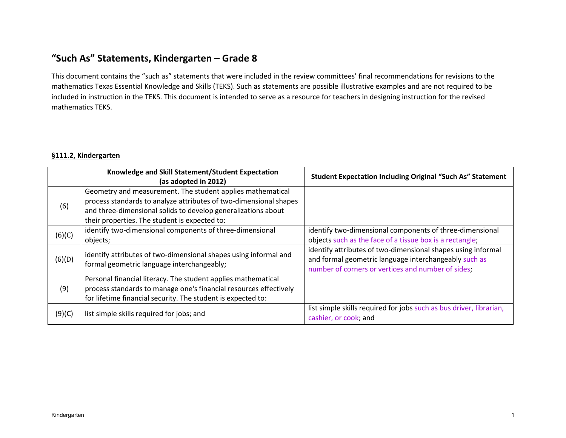# **"Such As" Statements, Kindergarten – Grade 8**

This document contains the "such as" statements that were included in the review committees' final recommendations for revisions to the mathematics Texas Essential Knowledge and Skills (TEKS). Such as statements are possible illustrative examples and are not required to be included in instruction in the TEKS. This document is intended to serve as a resource for teachers in designing instruction for the revised mathematics TEKS.

#### **§111.2, Kindergarten**

|        | Knowledge and Skill Statement/Student Expectation<br>(as adopted in 2012)                                                                                                                                                                         | <b>Student Expectation Including Original "Such As" Statement</b>                                                                                                           |
|--------|---------------------------------------------------------------------------------------------------------------------------------------------------------------------------------------------------------------------------------------------------|-----------------------------------------------------------------------------------------------------------------------------------------------------------------------------|
| (6)    | Geometry and measurement. The student applies mathematical<br>process standards to analyze attributes of two-dimensional shapes<br>and three-dimensional solids to develop generalizations about<br>their properties. The student is expected to: |                                                                                                                                                                             |
| (6)(C) | identify two-dimensional components of three-dimensional<br>objects;                                                                                                                                                                              | identify two-dimensional components of three-dimensional<br>objects such as the face of a tissue box is a rectangle;                                                        |
| (6)(D) | identify attributes of two-dimensional shapes using informal and<br>formal geometric language interchangeably;                                                                                                                                    | identify attributes of two-dimensional shapes using informal<br>and formal geometric language interchangeably such as<br>number of corners or vertices and number of sides; |
| (9)    | Personal financial literacy. The student applies mathematical<br>process standards to manage one's financial resources effectively<br>for lifetime financial security. The student is expected to:                                                |                                                                                                                                                                             |
| (9)(C) | list simple skills required for jobs; and                                                                                                                                                                                                         | list simple skills required for jobs such as bus driver, librarian,<br>cashier, or cook; and                                                                                |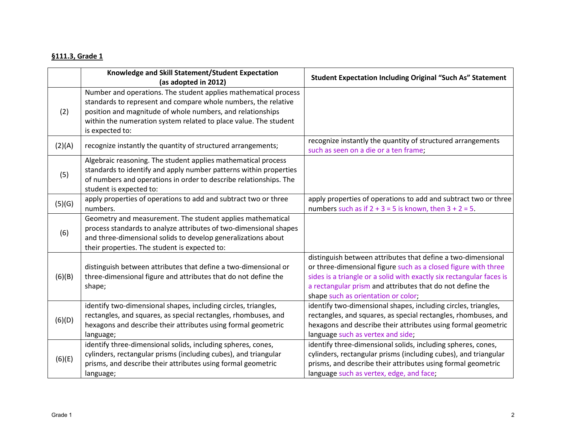### **§111.3, Grade 1**

|        | Knowledge and Skill Statement/Student Expectation<br>(as adopted in 2012)                                                                                                                                                                                                              | <b>Student Expectation Including Original "Such As" Statement</b>                                                                                                                                                                                                                                          |
|--------|----------------------------------------------------------------------------------------------------------------------------------------------------------------------------------------------------------------------------------------------------------------------------------------|------------------------------------------------------------------------------------------------------------------------------------------------------------------------------------------------------------------------------------------------------------------------------------------------------------|
| (2)    | Number and operations. The student applies mathematical process<br>standards to represent and compare whole numbers, the relative<br>position and magnitude of whole numbers, and relationships<br>within the numeration system related to place value. The student<br>is expected to: |                                                                                                                                                                                                                                                                                                            |
| (2)(A) | recognize instantly the quantity of structured arrangements;                                                                                                                                                                                                                           | recognize instantly the quantity of structured arrangements<br>such as seen on a die or a ten frame;                                                                                                                                                                                                       |
| (5)    | Algebraic reasoning. The student applies mathematical process<br>standards to identify and apply number patterns within properties<br>of numbers and operations in order to describe relationships. The<br>student is expected to:                                                     |                                                                                                                                                                                                                                                                                                            |
| (5)(G) | apply properties of operations to add and subtract two or three<br>numbers.                                                                                                                                                                                                            | apply properties of operations to add and subtract two or three<br>numbers such as if $2 + 3 = 5$ is known, then $3 + 2 = 5$ .                                                                                                                                                                             |
| (6)    | Geometry and measurement. The student applies mathematical<br>process standards to analyze attributes of two-dimensional shapes<br>and three-dimensional solids to develop generalizations about<br>their properties. The student is expected to:                                      |                                                                                                                                                                                                                                                                                                            |
| (6)(B) | distinguish between attributes that define a two-dimensional or<br>three-dimensional figure and attributes that do not define the<br>shape;                                                                                                                                            | distinguish between attributes that define a two-dimensional<br>or three-dimensional figure such as a closed figure with three<br>sides is a triangle or a solid with exactly six rectangular faces is<br>a rectangular prism and attributes that do not define the<br>shape such as orientation or color; |
| (6)(D) | identify two-dimensional shapes, including circles, triangles,<br>rectangles, and squares, as special rectangles, rhombuses, and<br>hexagons and describe their attributes using formal geometric<br>language;                                                                         | identify two-dimensional shapes, including circles, triangles,<br>rectangles, and squares, as special rectangles, rhombuses, and<br>hexagons and describe their attributes using formal geometric<br>language such as vertex and side;                                                                     |
| (6)(E) | identify three-dimensional solids, including spheres, cones,<br>cylinders, rectangular prisms (including cubes), and triangular<br>prisms, and describe their attributes using formal geometric<br>language;                                                                           | identify three-dimensional solids, including spheres, cones,<br>cylinders, rectangular prisms (including cubes), and triangular<br>prisms, and describe their attributes using formal geometric<br>language such as vertex, edge, and face;                                                                |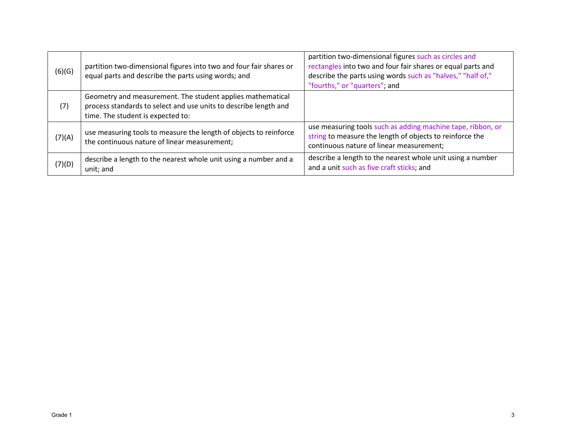| (6)(G) | partition two-dimensional figures into two and four fair shares or<br>equal parts and describe the parts using words; and                                           | partition two-dimensional figures such as circles and<br>rectangles into two and four fair shares or equal parts and<br>describe the parts using words such as "halves," "half of,"<br>"fourths," or "quarters"; and |
|--------|---------------------------------------------------------------------------------------------------------------------------------------------------------------------|----------------------------------------------------------------------------------------------------------------------------------------------------------------------------------------------------------------------|
| (7)    | Geometry and measurement. The student applies mathematical<br>process standards to select and use units to describe length and<br>time. The student is expected to: |                                                                                                                                                                                                                      |
| (7)(A) | use measuring tools to measure the length of objects to reinforce<br>the continuous nature of linear measurement;                                                   | use measuring tools such as adding machine tape, ribbon, or<br>string to measure the length of objects to reinforce the<br>continuous nature of linear measurement;                                                  |
| (7)(D) | describe a length to the nearest whole unit using a number and a<br>unit; and                                                                                       | describe a length to the nearest whole unit using a number<br>and a unit such as five craft sticks; and                                                                                                              |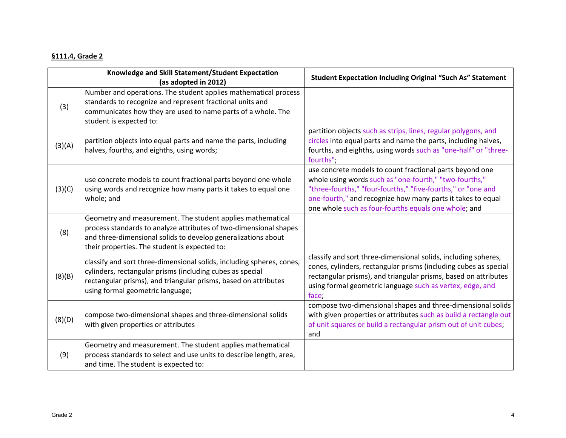### **§111.4, Grade 2**

|        | Knowledge and Skill Statement/Student Expectation<br>(as adopted in 2012)                                                                                                                                                                         | <b>Student Expectation Including Original "Such As" Statement</b>                                                                                                                                                                                                                                         |
|--------|---------------------------------------------------------------------------------------------------------------------------------------------------------------------------------------------------------------------------------------------------|-----------------------------------------------------------------------------------------------------------------------------------------------------------------------------------------------------------------------------------------------------------------------------------------------------------|
| (3)    | Number and operations. The student applies mathematical process<br>standards to recognize and represent fractional units and<br>communicates how they are used to name parts of a whole. The<br>student is expected to:                           |                                                                                                                                                                                                                                                                                                           |
| (3)(A) | partition objects into equal parts and name the parts, including<br>halves, fourths, and eighths, using words;                                                                                                                                    | partition objects such as strips, lines, regular polygons, and<br>circles into equal parts and name the parts, including halves,<br>fourths, and eighths, using words such as "one-half" or "three-<br>fourths";                                                                                          |
| (3)(C) | use concrete models to count fractional parts beyond one whole<br>using words and recognize how many parts it takes to equal one<br>whole; and                                                                                                    | use concrete models to count fractional parts beyond one<br>whole using words such as "one-fourth," "two-fourths,"<br>"three-fourths," "four-fourths," "five-fourths," or "one and<br>one-fourth," and recognize how many parts it takes to equal<br>one whole such as four-fourths equals one whole; and |
| (8)    | Geometry and measurement. The student applies mathematical<br>process standards to analyze attributes of two-dimensional shapes<br>and three-dimensional solids to develop generalizations about<br>their properties. The student is expected to: |                                                                                                                                                                                                                                                                                                           |
| (8)(B) | classify and sort three-dimensional solids, including spheres, cones,<br>cylinders, rectangular prisms (including cubes as special<br>rectangular prisms), and triangular prisms, based on attributes<br>using formal geometric language;         | classify and sort three-dimensional solids, including spheres,<br>cones, cylinders, rectangular prisms (including cubes as special<br>rectangular prisms), and triangular prisms, based on attributes<br>using formal geometric language such as vertex, edge, and<br>face;                               |
| (8)(D) | compose two-dimensional shapes and three-dimensional solids<br>with given properties or attributes                                                                                                                                                | compose two-dimensional shapes and three-dimensional solids<br>with given properties or attributes such as build a rectangle out<br>of unit squares or build a rectangular prism out of unit cubes;<br>and                                                                                                |
| (9)    | Geometry and measurement. The student applies mathematical<br>process standards to select and use units to describe length, area,<br>and time. The student is expected to:                                                                        |                                                                                                                                                                                                                                                                                                           |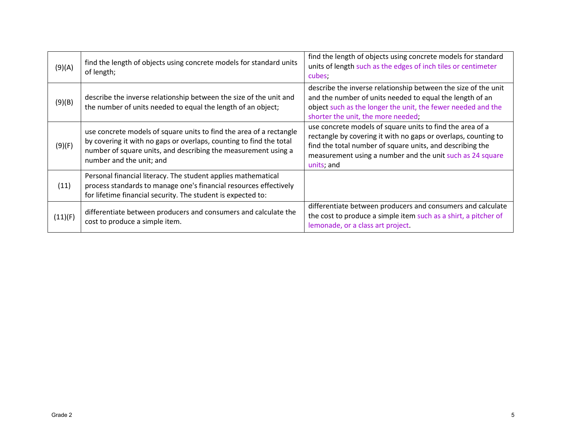| (9)(A)  | find the length of objects using concrete models for standard units<br>of length;                                                                                                                                                        | find the length of objects using concrete models for standard<br>units of length such as the edges of inch tiles or centimeter<br>cubes:                                                                                                                            |
|---------|------------------------------------------------------------------------------------------------------------------------------------------------------------------------------------------------------------------------------------------|---------------------------------------------------------------------------------------------------------------------------------------------------------------------------------------------------------------------------------------------------------------------|
| (9)(B)  | describe the inverse relationship between the size of the unit and<br>the number of units needed to equal the length of an object;                                                                                                       | describe the inverse relationship between the size of the unit<br>and the number of units needed to equal the length of an<br>object such as the longer the unit, the fewer needed and the<br>shorter the unit, the more needed;                                    |
| (9)(F)  | use concrete models of square units to find the area of a rectangle<br>by covering it with no gaps or overlaps, counting to find the total<br>number of square units, and describing the measurement using a<br>number and the unit; and | use concrete models of square units to find the area of a<br>rectangle by covering it with no gaps or overlaps, counting to<br>find the total number of square units, and describing the<br>measurement using a number and the unit such as 24 square<br>units; and |
| (11)    | Personal financial literacy. The student applies mathematical<br>process standards to manage one's financial resources effectively<br>for lifetime financial security. The student is expected to:                                       |                                                                                                                                                                                                                                                                     |
| (11)(F) | differentiate between producers and consumers and calculate the<br>cost to produce a simple item.                                                                                                                                        | differentiate between producers and consumers and calculate<br>the cost to produce a simple item such as a shirt, a pitcher of<br>lemonade, or a class art project.                                                                                                 |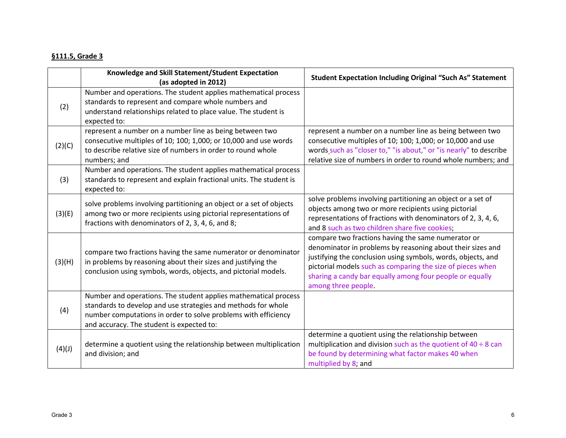#### **§111.5, Grade 3**

|        | Knowledge and Skill Statement/Student Expectation<br>(as adopted in 2012)                                                                                                                                                                       | <b>Student Expectation Including Original "Such As" Statement</b>                                                                                                                                                                                                                                                                 |
|--------|-------------------------------------------------------------------------------------------------------------------------------------------------------------------------------------------------------------------------------------------------|-----------------------------------------------------------------------------------------------------------------------------------------------------------------------------------------------------------------------------------------------------------------------------------------------------------------------------------|
| (2)    | Number and operations. The student applies mathematical process<br>standards to represent and compare whole numbers and<br>understand relationships related to place value. The student is<br>expected to:                                      |                                                                                                                                                                                                                                                                                                                                   |
| (2)(C) | represent a number on a number line as being between two<br>consecutive multiples of 10; 100; 1,000; or 10,000 and use words<br>to describe relative size of numbers in order to round whole<br>numbers; and                                    | represent a number on a number line as being between two<br>consecutive multiples of 10; 100; 1,000; or 10,000 and use<br>words such as "closer to," "is about," or "is nearly" to describe<br>relative size of numbers in order to round whole numbers; and                                                                      |
| (3)    | Number and operations. The student applies mathematical process<br>standards to represent and explain fractional units. The student is<br>expected to:                                                                                          |                                                                                                                                                                                                                                                                                                                                   |
| (3)(E) | solve problems involving partitioning an object or a set of objects<br>among two or more recipients using pictorial representations of<br>fractions with denominators of 2, 3, 4, 6, and 8;                                                     | solve problems involving partitioning an object or a set of<br>objects among two or more recipients using pictorial<br>representations of fractions with denominators of 2, 3, 4, 6,<br>and 8 such as two children share five cookies;                                                                                            |
| (3)(H) | compare two fractions having the same numerator or denominator<br>in problems by reasoning about their sizes and justifying the<br>conclusion using symbols, words, objects, and pictorial models.                                              | compare two fractions having the same numerator or<br>denominator in problems by reasoning about their sizes and<br>justifying the conclusion using symbols, words, objects, and<br>pictorial models such as comparing the size of pieces when<br>sharing a candy bar equally among four people or equally<br>among three people. |
| (4)    | Number and operations. The student applies mathematical process<br>standards to develop and use strategies and methods for whole<br>number computations in order to solve problems with efficiency<br>and accuracy. The student is expected to: |                                                                                                                                                                                                                                                                                                                                   |
| (4)(J) | determine a quotient using the relationship between multiplication<br>and division; and                                                                                                                                                         | determine a quotient using the relationship between<br>multiplication and division such as the quotient of $40 \div 8$ can<br>be found by determining what factor makes 40 when<br>multiplied by 8; and                                                                                                                           |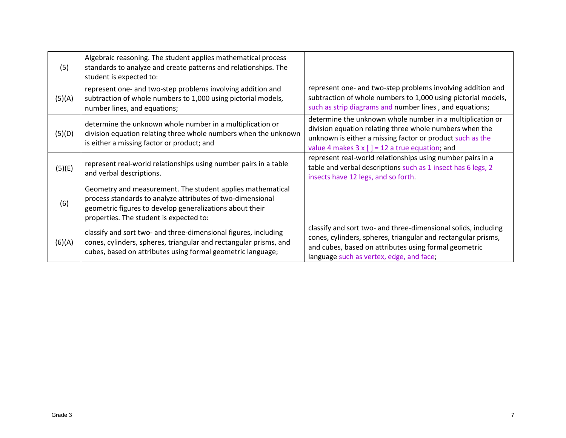| (5)    | Algebraic reasoning. The student applies mathematical process<br>standards to analyze and create patterns and relationships. The<br>student is expected to:                                                                     |                                                                                                                                                                                                                                             |
|--------|---------------------------------------------------------------------------------------------------------------------------------------------------------------------------------------------------------------------------------|---------------------------------------------------------------------------------------------------------------------------------------------------------------------------------------------------------------------------------------------|
| (5)(A) | represent one- and two-step problems involving addition and<br>subtraction of whole numbers to 1,000 using pictorial models,<br>number lines, and equations;                                                                    | represent one- and two-step problems involving addition and<br>subtraction of whole numbers to 1,000 using pictorial models,<br>such as strip diagrams and number lines, and equations;                                                     |
| (5)(D) | determine the unknown whole number in a multiplication or<br>division equation relating three whole numbers when the unknown<br>is either a missing factor or product; and                                                      | determine the unknown whole number in a multiplication or<br>division equation relating three whole numbers when the<br>unknown is either a missing factor or product such as the<br>value 4 makes $3 \times [$ ] = 12 a true equation; and |
| (5)(E) | represent real-world relationships using number pairs in a table<br>and verbal descriptions.                                                                                                                                    | represent real-world relationships using number pairs in a<br>table and verbal descriptions such as 1 insect has 6 legs, 2<br>insects have 12 legs, and so forth.                                                                           |
| (6)    | Geometry and measurement. The student applies mathematical<br>process standards to analyze attributes of two-dimensional<br>geometric figures to develop generalizations about their<br>properties. The student is expected to: |                                                                                                                                                                                                                                             |
| (6)(A) | classify and sort two- and three-dimensional figures, including<br>cones, cylinders, spheres, triangular and rectangular prisms, and<br>cubes, based on attributes using formal geometric language;                             | classify and sort two- and three-dimensional solids, including<br>cones, cylinders, spheres, triangular and rectangular prisms,<br>and cubes, based on attributes using formal geometric<br>language such as vertex, edge, and face;        |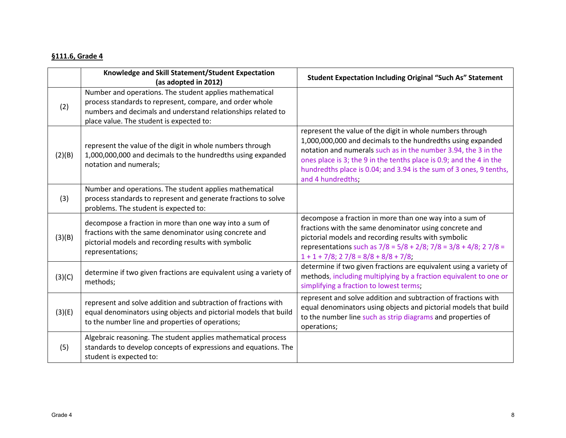#### **§111.6, Grade 4**

|        | Knowledge and Skill Statement/Student Expectation<br>(as adopted in 2012)                                                                                                                                                       | <b>Student Expectation Including Original "Such As" Statement</b>                                                                                                                                                                                                                                                                                            |
|--------|---------------------------------------------------------------------------------------------------------------------------------------------------------------------------------------------------------------------------------|--------------------------------------------------------------------------------------------------------------------------------------------------------------------------------------------------------------------------------------------------------------------------------------------------------------------------------------------------------------|
| (2)    | Number and operations. The student applies mathematical<br>process standards to represent, compare, and order whole<br>numbers and decimals and understand relationships related to<br>place value. The student is expected to: |                                                                                                                                                                                                                                                                                                                                                              |
| (2)(B) | represent the value of the digit in whole numbers through<br>1,000,000,000 and decimals to the hundredths using expanded<br>notation and numerals;                                                                              | represent the value of the digit in whole numbers through<br>1,000,000,000 and decimals to the hundredths using expanded<br>notation and numerals such as in the number 3.94, the 3 in the<br>ones place is 3; the 9 in the tenths place is 0.9; and the 4 in the<br>hundredths place is 0.04; and 3.94 is the sum of 3 ones, 9 tenths,<br>and 4 hundredths; |
| (3)    | Number and operations. The student applies mathematical<br>process standards to represent and generate fractions to solve<br>problems. The student is expected to:                                                              |                                                                                                                                                                                                                                                                                                                                                              |
| (3)(B) | decompose a fraction in more than one way into a sum of<br>fractions with the same denominator using concrete and<br>pictorial models and recording results with symbolic<br>representations;                                   | decompose a fraction in more than one way into a sum of<br>fractions with the same denominator using concrete and<br>pictorial models and recording results with symbolic<br>representations such as $7/8 = 5/8 + 2/8$ ; $7/8 = 3/8 + 4/8$ ; $2 \frac{7}{8} =$<br>$1 + 1 + 7/8$ ; $27/8 = 8/8 + 8/8 + 7/8$ ;                                                 |
| (3)(C) | determine if two given fractions are equivalent using a variety of<br>methods;                                                                                                                                                  | determine if two given fractions are equivalent using a variety of<br>methods, including multiplying by a fraction equivalent to one or<br>simplifying a fraction to lowest terms;                                                                                                                                                                           |
| (3)(E) | represent and solve addition and subtraction of fractions with<br>equal denominators using objects and pictorial models that build<br>to the number line and properties of operations;                                          | represent and solve addition and subtraction of fractions with<br>equal denominators using objects and pictorial models that build<br>to the number line such as strip diagrams and properties of<br>operations;                                                                                                                                             |
| (5)    | Algebraic reasoning. The student applies mathematical process<br>standards to develop concepts of expressions and equations. The<br>student is expected to:                                                                     |                                                                                                                                                                                                                                                                                                                                                              |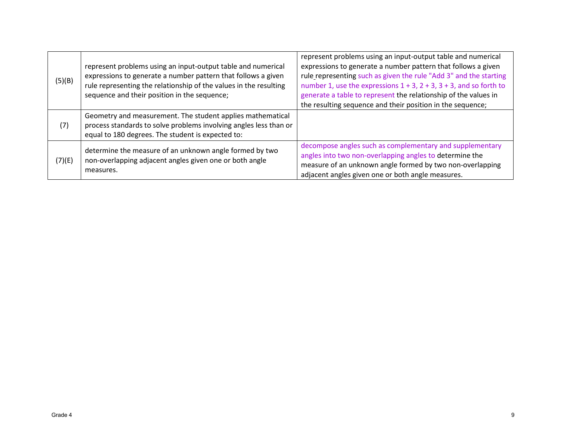| (5)(B) | represent problems using an input-output table and numerical<br>expressions to generate a number pattern that follows a given<br>rule representing the relationship of the values in the resulting<br>sequence and their position in the sequence; | represent problems using an input-output table and numerical<br>expressions to generate a number pattern that follows a given<br>rule representing such as given the rule "Add 3" and the starting<br>number 1, use the expressions $1 + 3$ , $2 + 3$ , $3 + 3$ , and so forth to<br>generate a table to represent the relationship of the values in<br>the resulting sequence and their position in the sequence; |
|--------|----------------------------------------------------------------------------------------------------------------------------------------------------------------------------------------------------------------------------------------------------|--------------------------------------------------------------------------------------------------------------------------------------------------------------------------------------------------------------------------------------------------------------------------------------------------------------------------------------------------------------------------------------------------------------------|
| (7)    | Geometry and measurement. The student applies mathematical<br>process standards to solve problems involving angles less than or<br>equal to 180 degrees. The student is expected to:                                                               |                                                                                                                                                                                                                                                                                                                                                                                                                    |
| (7)(E) | determine the measure of an unknown angle formed by two<br>non-overlapping adjacent angles given one or both angle<br>measures.                                                                                                                    | decompose angles such as complementary and supplementary<br>angles into two non-overlapping angles to determine the<br>measure of an unknown angle formed by two non-overlapping<br>adjacent angles given one or both angle measures.                                                                                                                                                                              |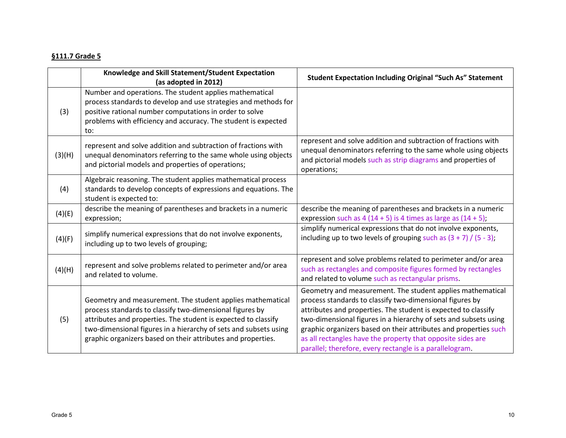## **§111.7 Grade 5**

|        | Knowledge and Skill Statement/Student Expectation<br>(as adopted in 2012)                                                                                                                                                                                                                                                    | <b>Student Expectation Including Original "Such As" Statement</b>                                                                                                                                                                                                                                                                                                                                                                                           |
|--------|------------------------------------------------------------------------------------------------------------------------------------------------------------------------------------------------------------------------------------------------------------------------------------------------------------------------------|-------------------------------------------------------------------------------------------------------------------------------------------------------------------------------------------------------------------------------------------------------------------------------------------------------------------------------------------------------------------------------------------------------------------------------------------------------------|
| (3)    | Number and operations. The student applies mathematical<br>process standards to develop and use strategies and methods for<br>positive rational number computations in order to solve<br>problems with efficiency and accuracy. The student is expected<br>to:                                                               |                                                                                                                                                                                                                                                                                                                                                                                                                                                             |
| (3)(H) | represent and solve addition and subtraction of fractions with<br>unequal denominators referring to the same whole using objects<br>and pictorial models and properties of operations;                                                                                                                                       | represent and solve addition and subtraction of fractions with<br>unequal denominators referring to the same whole using objects<br>and pictorial models such as strip diagrams and properties of<br>operations;                                                                                                                                                                                                                                            |
| (4)    | Algebraic reasoning. The student applies mathematical process<br>standards to develop concepts of expressions and equations. The<br>student is expected to:                                                                                                                                                                  |                                                                                                                                                                                                                                                                                                                                                                                                                                                             |
| (4)(E) | describe the meaning of parentheses and brackets in a numeric<br>expression;                                                                                                                                                                                                                                                 | describe the meaning of parentheses and brackets in a numeric<br>expression such as $4(14 + 5)$ is 4 times as large as $(14 + 5)$ ;                                                                                                                                                                                                                                                                                                                         |
| (4)(F) | simplify numerical expressions that do not involve exponents,<br>including up to two levels of grouping;                                                                                                                                                                                                                     | simplify numerical expressions that do not involve exponents,<br>including up to two levels of grouping such as $(3 + 7) / (5 - 3)$ ;                                                                                                                                                                                                                                                                                                                       |
| (4)(H) | represent and solve problems related to perimeter and/or area<br>and related to volume.                                                                                                                                                                                                                                      | represent and solve problems related to perimeter and/or area<br>such as rectangles and composite figures formed by rectangles<br>and related to volume such as rectangular prisms.                                                                                                                                                                                                                                                                         |
| (5)    | Geometry and measurement. The student applies mathematical<br>process standards to classify two-dimensional figures by<br>attributes and properties. The student is expected to classify<br>two-dimensional figures in a hierarchy of sets and subsets using<br>graphic organizers based on their attributes and properties. | Geometry and measurement. The student applies mathematical<br>process standards to classify two-dimensional figures by<br>attributes and properties. The student is expected to classify<br>two-dimensional figures in a hierarchy of sets and subsets using<br>graphic organizers based on their attributes and properties such<br>as all rectangles have the property that opposite sides are<br>parallel; therefore, every rectangle is a parallelogram. |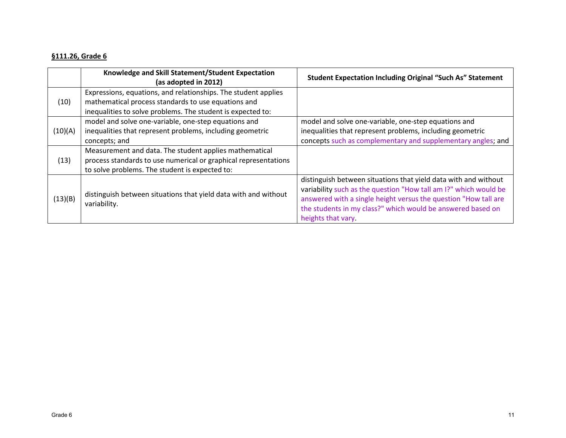#### **§111.26, Grade 6**

|         | Knowledge and Skill Statement/Student Expectation<br>(as adopted in 2012)                                                                                                            | <b>Student Expectation Including Original "Such As" Statement</b>                                                                                                                                                                                                                          |
|---------|--------------------------------------------------------------------------------------------------------------------------------------------------------------------------------------|--------------------------------------------------------------------------------------------------------------------------------------------------------------------------------------------------------------------------------------------------------------------------------------------|
| (10)    | Expressions, equations, and relationships. The student applies<br>mathematical process standards to use equations and<br>inequalities to solve problems. The student is expected to: |                                                                                                                                                                                                                                                                                            |
| (10)(A) | model and solve one-variable, one-step equations and<br>inequalities that represent problems, including geometric<br>concepts; and                                                   | model and solve one-variable, one-step equations and<br>inequalities that represent problems, including geometric<br>concepts such as complementary and supplementary angles; and                                                                                                          |
| (13)    | Measurement and data. The student applies mathematical<br>process standards to use numerical or graphical representations<br>to solve problems. The student is expected to:          |                                                                                                                                                                                                                                                                                            |
| (13)(B) | distinguish between situations that yield data with and without<br>variability.                                                                                                      | distinguish between situations that yield data with and without<br>variability such as the question "How tall am I?" which would be<br>answered with a single height versus the question "How tall are<br>the students in my class?" which would be answered based on<br>heights that vary |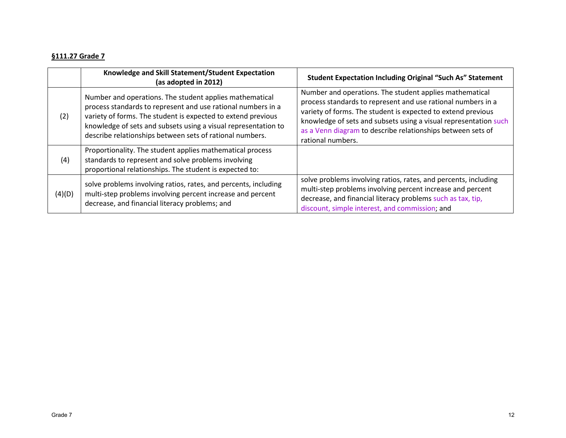### **§111.27 Grade 7**

|        | Knowledge and Skill Statement/Student Expectation<br>(as adopted in 2012)                                                                                                                                                                                                                                             | <b>Student Expectation Including Original "Such As" Statement</b>                                                                                                                                                                                                                                                                               |
|--------|-----------------------------------------------------------------------------------------------------------------------------------------------------------------------------------------------------------------------------------------------------------------------------------------------------------------------|-------------------------------------------------------------------------------------------------------------------------------------------------------------------------------------------------------------------------------------------------------------------------------------------------------------------------------------------------|
| (2)    | Number and operations. The student applies mathematical<br>process standards to represent and use rational numbers in a<br>variety of forms. The student is expected to extend previous<br>knowledge of sets and subsets using a visual representation to<br>describe relationships between sets of rational numbers. | Number and operations. The student applies mathematical<br>process standards to represent and use rational numbers in a<br>variety of forms. The student is expected to extend previous<br>knowledge of sets and subsets using a visual representation such<br>as a Venn diagram to describe relationships between sets of<br>rational numbers. |
| (4)    | Proportionality. The student applies mathematical process<br>standards to represent and solve problems involving<br>proportional relationships. The student is expected to:                                                                                                                                           |                                                                                                                                                                                                                                                                                                                                                 |
| (4)(D) | solve problems involving ratios, rates, and percents, including<br>multi-step problems involving percent increase and percent<br>decrease, and financial literacy problems; and                                                                                                                                       | solve problems involving ratios, rates, and percents, including<br>multi-step problems involving percent increase and percent<br>decrease, and financial literacy problems such as tax, tip,<br>discount, simple interest, and commission; and                                                                                                  |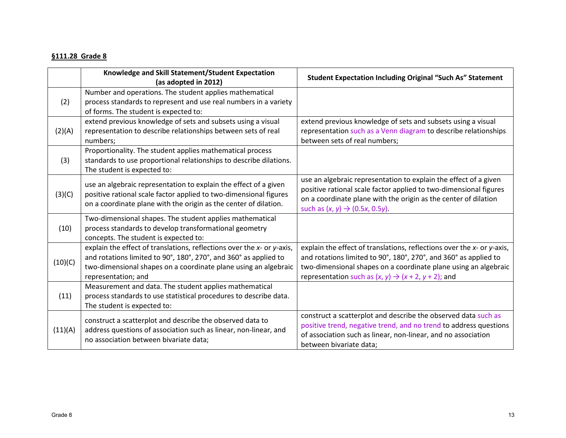#### **§111.28 Grade 8**

|         | Knowledge and Skill Statement/Student Expectation<br>(as adopted in 2012)                                                                                                                                                            | <b>Student Expectation Including Original "Such As" Statement</b>                                                                                                                                                                                                                 |
|---------|--------------------------------------------------------------------------------------------------------------------------------------------------------------------------------------------------------------------------------------|-----------------------------------------------------------------------------------------------------------------------------------------------------------------------------------------------------------------------------------------------------------------------------------|
| (2)     | Number and operations. The student applies mathematical<br>process standards to represent and use real numbers in a variety<br>of forms. The student is expected to:                                                                 |                                                                                                                                                                                                                                                                                   |
| (2)(A)  | extend previous knowledge of sets and subsets using a visual<br>representation to describe relationships between sets of real<br>numbers;                                                                                            | extend previous knowledge of sets and subsets using a visual<br>representation such as a Venn diagram to describe relationships<br>between sets of real numbers;                                                                                                                  |
| (3)     | Proportionality. The student applies mathematical process<br>standards to use proportional relationships to describe dilations.<br>The student is expected to:                                                                       |                                                                                                                                                                                                                                                                                   |
| (3)(C)  | use an algebraic representation to explain the effect of a given<br>positive rational scale factor applied to two-dimensional figures<br>on a coordinate plane with the origin as the center of dilation.                            | use an algebraic representation to explain the effect of a given<br>positive rational scale factor applied to two-dimensional figures<br>on a coordinate plane with the origin as the center of dilation<br>such as $(x, y) \to (0.5x, 0.5y)$ .                                   |
| (10)    | Two-dimensional shapes. The student applies mathematical<br>process standards to develop transformational geometry<br>concepts. The student is expected to:                                                                          |                                                                                                                                                                                                                                                                                   |
| (10)(C) | explain the effect of translations, reflections over the x- or y-axis,<br>and rotations limited to 90°, 180°, 270°, and 360° as applied to<br>two-dimensional shapes on a coordinate plane using an algebraic<br>representation; and | explain the effect of translations, reflections over the x- or y-axis,<br>and rotations limited to 90°, 180°, 270°, and 360° as applied to<br>two-dimensional shapes on a coordinate plane using an algebraic<br>representation such as $(x, y) \rightarrow (x + 2, y + 2)$ ; and |
| (11)    | Measurement and data. The student applies mathematical<br>process standards to use statistical procedures to describe data.<br>The student is expected to:                                                                           |                                                                                                                                                                                                                                                                                   |
| (11)(A) | construct a scatterplot and describe the observed data to<br>address questions of association such as linear, non-linear, and<br>no association between bivariate data;                                                              | construct a scatterplot and describe the observed data such as<br>positive trend, negative trend, and no trend to address questions<br>of association such as linear, non-linear, and no association<br>between bivariate data;                                                   |